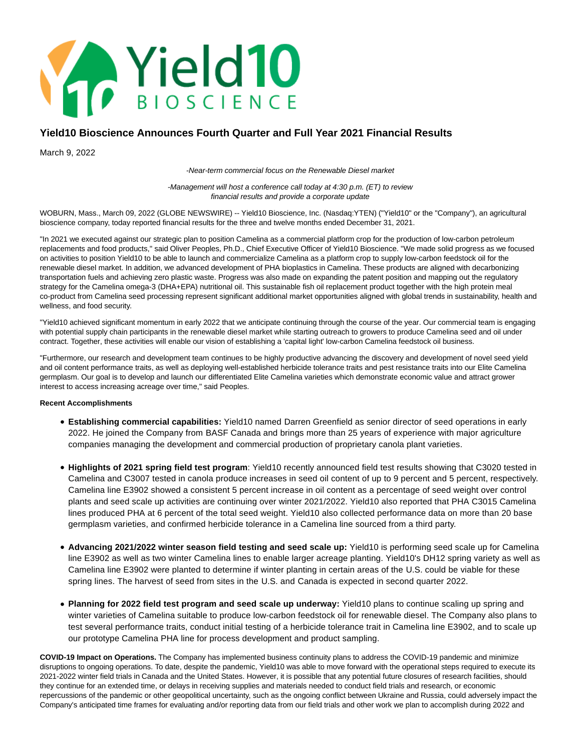

# **Yield10 Bioscience Announces Fourth Quarter and Full Year 2021 Financial Results**

March 9, 2022

-Near-term commercial focus on the Renewable Diesel market

-Management will host a conference call today at 4:30 p.m. (ET) to review financial results and provide a corporate update

WOBURN, Mass., March 09, 2022 (GLOBE NEWSWIRE) -- Yield10 Bioscience, Inc. (Nasdaq:YTEN) ("Yield10" or the "Company"), an agricultural bioscience company, today reported financial results for the three and twelve months ended December 31, 2021.

"In 2021 we executed against our strategic plan to position Camelina as a commercial platform crop for the production of low-carbon petroleum replacements and food products," said Oliver Peoples, Ph.D., Chief Executive Officer of Yield10 Bioscience. "We made solid progress as we focused on activities to position Yield10 to be able to launch and commercialize Camelina as a platform crop to supply low-carbon feedstock oil for the renewable diesel market. In addition, we advanced development of PHA bioplastics in Camelina. These products are aligned with decarbonizing transportation fuels and achieving zero plastic waste. Progress was also made on expanding the patent position and mapping out the regulatory strategy for the Camelina omega-3 (DHA+EPA) nutritional oil. This sustainable fish oil replacement product together with the high protein meal co-product from Camelina seed processing represent significant additional market opportunities aligned with global trends in sustainability, health and wellness, and food security.

"Yield10 achieved significant momentum in early 2022 that we anticipate continuing through the course of the year. Our commercial team is engaging with potential supply chain participants in the renewable diesel market while starting outreach to growers to produce Camelina seed and oil under contract. Together, these activities will enable our vision of establishing a 'capital light' low-carbon Camelina feedstock oil business.

"Furthermore, our research and development team continues to be highly productive advancing the discovery and development of novel seed yield and oil content performance traits, as well as deploying well-established herbicide tolerance traits and pest resistance traits into our Elite Camelina germplasm. Our goal is to develop and launch our differentiated Elite Camelina varieties which demonstrate economic value and attract grower interest to access increasing acreage over time," said Peoples.

## **Recent Accomplishments**

- **Establishing commercial capabilities:** Yield10 named Darren Greenfield as senior director of seed operations in early 2022. He joined the Company from BASF Canada and brings more than 25 years of experience with major agriculture companies managing the development and commercial production of proprietary canola plant varieties.
- **Highlights of 2021 spring field test program**: Yield10 recently announced field test results showing that C3020 tested in Camelina and C3007 tested in canola produce increases in seed oil content of up to 9 percent and 5 percent, respectively. Camelina line E3902 showed a consistent 5 percent increase in oil content as a percentage of seed weight over control plants and seed scale up activities are continuing over winter 2021/2022. Yield10 also reported that PHA C3015 Camelina lines produced PHA at 6 percent of the total seed weight. Yield10 also collected performance data on more than 20 base germplasm varieties, and confirmed herbicide tolerance in a Camelina line sourced from a third party.
- **Advancing 2021/2022 winter season field testing and seed scale up:** Yield10 is performing seed scale up for Camelina line E3902 as well as two winter Camelina lines to enable larger acreage planting. Yield10's DH12 spring variety as well as Camelina line E3902 were planted to determine if winter planting in certain areas of the U.S. could be viable for these spring lines. The harvest of seed from sites in the U.S. and Canada is expected in second quarter 2022.
- **Planning for 2022 field test program and seed scale up underway:** Yield10 plans to continue scaling up spring and winter varieties of Camelina suitable to produce low-carbon feedstock oil for renewable diesel. The Company also plans to test several performance traits, conduct initial testing of a herbicide tolerance trait in Camelina line E3902, and to scale up our prototype Camelina PHA line for process development and product sampling.

**COVID-19 Impact on Operations.** The Company has implemented business continuity plans to address the COVID-19 pandemic and minimize disruptions to ongoing operations. To date, despite the pandemic, Yield10 was able to move forward with the operational steps required to execute its 2021-2022 winter field trials in Canada and the United States. However, it is possible that any potential future closures of research facilities, should they continue for an extended time, or delays in receiving supplies and materials needed to conduct field trials and research, or economic repercussions of the pandemic or other geopolitical uncertainty, such as the ongoing conflict between Ukraine and Russia, could adversely impact the Company's anticipated time frames for evaluating and/or reporting data from our field trials and other work we plan to accomplish during 2022 and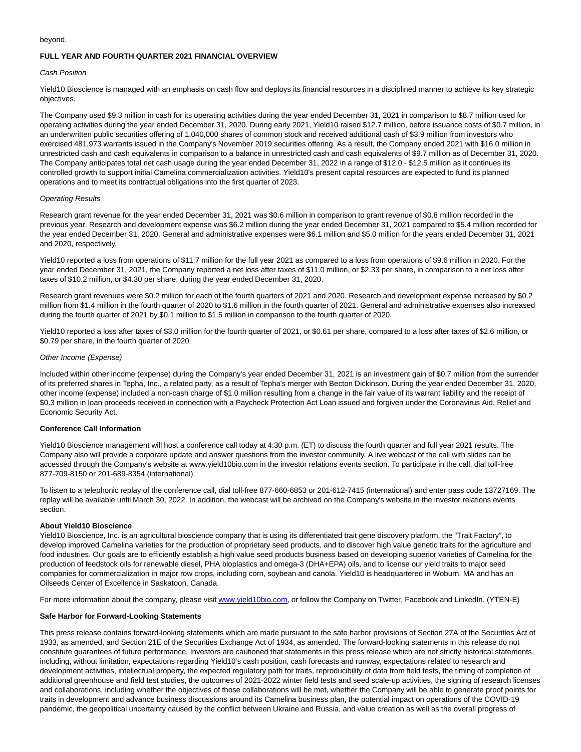#### beyond.

## **FULL YEAR AND FOURTH QUARTER 2021 FINANCIAL OVERVIEW**

#### Cash Position

Yield10 Bioscience is managed with an emphasis on cash flow and deploys its financial resources in a disciplined manner to achieve its key strategic objectives.

The Company used \$9.3 million in cash for its operating activities during the year ended December 31, 2021 in comparison to \$8.7 million used for operating activities during the year ended December 31, 2020. During early 2021, Yield10 raised \$12.7 million, before issuance costs of \$0.7 million, in an underwritten public securities offering of 1,040,000 shares of common stock and received additional cash of \$3.9 million from investors who exercised 481,973 warrants issued in the Company's November 2019 securities offering. As a result, the Company ended 2021 with \$16.0 million in unrestricted cash and cash equivalents in comparison to a balance in unrestricted cash and cash equivalents of \$9.7 million as of December 31, 2020. The Company anticipates total net cash usage during the year ended December 31, 2022 in a range of \$12.0 - \$12.5 million as it continues its controlled growth to support initial Camelina commercialization activities. Yield10's present capital resources are expected to fund its planned operations and to meet its contractual obligations into the first quarter of 2023.

#### Operating Results

Research grant revenue for the year ended December 31, 2021 was \$0.6 million in comparison to grant revenue of \$0.8 million recorded in the previous year. Research and development expense was \$6.2 million during the year ended December 31, 2021 compared to \$5.4 million recorded for the year ended December 31, 2020. General and administrative expenses were \$6.1 million and \$5.0 million for the years ended December 31, 2021 and 2020, respectively.

Yield10 reported a loss from operations of \$11.7 million for the full year 2021 as compared to a loss from operations of \$9.6 million in 2020. For the year ended December 31, 2021, the Company reported a net loss after taxes of \$11.0 million, or \$2.33 per share, in comparison to a net loss after taxes of \$10.2 million, or \$4.30 per share, during the year ended December 31, 2020.

Research grant revenues were \$0.2 million for each of the fourth quarters of 2021 and 2020. Research and development expense increased by \$0.2 million from \$1.4 million in the fourth quarter of 2020 to \$1.6 million in the fourth quarter of 2021. General and administrative expenses also increased during the fourth quarter of 2021 by \$0.1 million to \$1.5 million in comparison to the fourth quarter of 2020.

Yield10 reported a loss after taxes of \$3.0 million for the fourth quarter of 2021, or \$0.61 per share, compared to a loss after taxes of \$2.6 million, or \$0.79 per share, in the fourth quarter of 2020.

#### Other Income (Expense)

Included within other income (expense) during the Company's year ended December 31, 2021 is an investment gain of \$0.7 million from the surrender of its preferred shares in Tepha, Inc., a related party, as a result of Tepha's merger with Becton Dickinson. During the year ended December 31, 2020, other income (expense) included a non-cash charge of \$1.0 million resulting from a change in the fair value of its warrant liability and the receipt of \$0.3 million in loan proceeds received in connection with a Paycheck Protection Act Loan issued and forgiven under the Coronavirus Aid, Relief and Economic Security Act.

## **Conference Call Information**

Yield10 Bioscience management will host a conference call today at 4:30 p.m. (ET) to discuss the fourth quarter and full year 2021 results. The Company also will provide a corporate update and answer questions from the investor community. A live webcast of the call with slides can be accessed through the Company's website at www.yield10bio.com in the investor relations events section. To participate in the call, dial toll-free 877-709-8150 or 201-689-8354 (international).

To listen to a telephonic replay of the conference call, dial toll-free 877-660-6853 or 201-612-7415 (international) and enter pass code 13727169. The replay will be available until March 30, 2022. In addition, the webcast will be archived on the Company's website in the investor relations events section.

#### **About Yield10 Bioscience**

Yield10 Bioscience, Inc. is an agricultural bioscience company that is using its differentiated trait gene discovery platform, the "Trait Factory", to develop improved Camelina varieties for the production of proprietary seed products, and to discover high value genetic traits for the agriculture and food industries. Our goals are to efficiently establish a high value seed products business based on developing superior varieties of Camelina for the production of feedstock oils for renewable diesel, PHA bioplastics and omega-3 (DHA+EPA) oils, and to license our yield traits to major seed companies for commercialization in major row crops, including corn, soybean and canola. Yield10 is headquartered in Woburn, MA and has an Oilseeds Center of Excellence in Saskatoon, Canada.

For more information about the company, please visi[t www.yield10bio.com,](http://www.yield10bio.com/) or follow the Company on Twitter, Facebook and LinkedIn. (YTEN-E)

## **Safe Harbor for Forward-Looking Statements**

This press release contains forward-looking statements which are made pursuant to the safe harbor provisions of Section 27A of the Securities Act of 1933, as amended, and Section 21E of the Securities Exchange Act of 1934, as amended. The forward-looking statements in this release do not constitute guarantees of future performance. Investors are cautioned that statements in this press release which are not strictly historical statements, including, without limitation, expectations regarding Yield10's cash position, cash forecasts and runway, expectations related to research and development activities, intellectual property, the expected regulatory path for traits, reproducibility of data from field tests, the timing of completion of additional greenhouse and field test studies, the outcomes of 2021-2022 winter field tests and seed scale-up activities, the signing of research licenses and collaborations, including whether the objectives of those collaborations will be met, whether the Company will be able to generate proof points for traits in development and advance business discussions around its Camelina business plan, the potential impact on operations of the COVID-19 pandemic, the geopolitical uncertainty caused by the conflict between Ukraine and Russia, and value creation as well as the overall progress of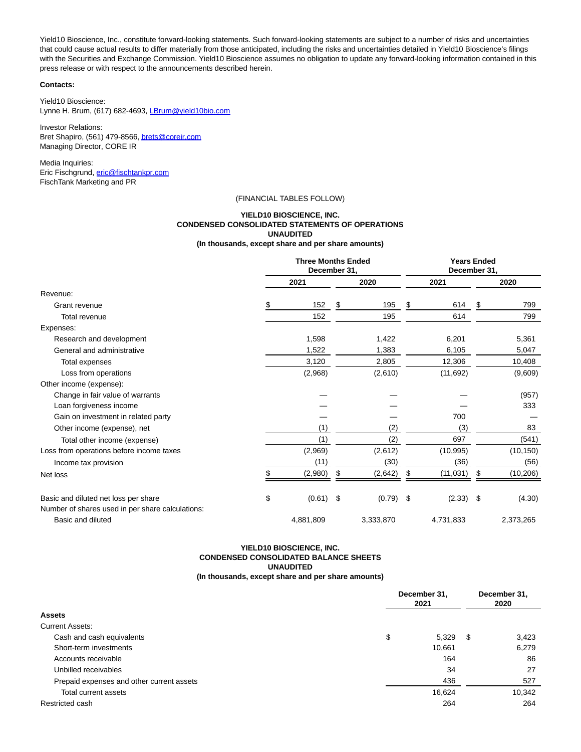Yield10 Bioscience, Inc., constitute forward-looking statements. Such forward-looking statements are subject to a number of risks and uncertainties that could cause actual results to differ materially from those anticipated, including the risks and uncertainties detailed in Yield10 Bioscience's filings with the Securities and Exchange Commission. Yield10 Bioscience assumes no obligation to update any forward-looking information contained in this press release or with respect to the announcements described herein.

#### **Contacts:**

Yield10 Bioscience: Lynne H. Brum, (617) 682-4693, [LBrum@yield10bio.com](https://www.globenewswire.com/Tracker?data=ACVIXIt_KAt32awK-RBmaMBRBgs3FeNllevYeuZlvbQW0TBFuVwsmWelvyFqRDi50CNIc8vMGcDSd1opNqZwSu8vkWYvrr2MUXlO7m3yFBA=)

Investor Relations: Bret Shapiro, (561) 479-8566[, brets@coreir.com](https://www.globenewswire.com/Tracker?data=0-9QKTBPjDo4UjQevduXC57KHcKcCMyaHGYqX-fJ4ullardBKQpMyGwzvpGMacD91gCE-kQel9PyqiXZNVFxbw==) Managing Director, CORE IR

Media Inquiries: Eric Fischgrund, [eric@fischtankpr.com](https://www.globenewswire.com/Tracker?data=EsBK7cLo7u0R5c63qi0_X0H7Rp6_O94qe0ZZtdcT_7qxCeT-jppZZm3FRt4GAJ1gAaGG4NBr4YakgiDsHjsEERWcD09tnJQX57HKg_xyM0Q=) FischTank Marketing and PR

## (FINANCIAL TABLES FOLLOW)

# **YIELD10 BIOSCIENCE, INC. CONDENSED CONSOLIDATED STATEMENTS OF OPERATIONS UNAUDITED**

**(In thousands, except share and per share amounts)**

|                                                  | <b>Three Months Ended</b><br>December 31, |             |    | <b>Years Ended</b><br>December 31, |    |             |    |           |
|--------------------------------------------------|-------------------------------------------|-------------|----|------------------------------------|----|-------------|----|-----------|
|                                                  |                                           | 2021        |    | 2020                               |    | 2021        |    | 2020      |
| Revenue:                                         |                                           |             |    |                                    |    |             |    |           |
| Grant revenue                                    | \$                                        | 152         | \$ | 195                                | \$ | 614         | \$ | 799       |
| Total revenue                                    |                                           | 152         |    | 195                                |    | 614         |    | 799       |
| Expenses:                                        |                                           |             |    |                                    |    |             |    |           |
| Research and development                         |                                           | 1,598       |    | 1,422                              |    | 6,201       |    | 5,361     |
| General and administrative                       |                                           | 1,522       |    | 1,383                              |    | 6,105       |    | 5,047     |
| Total expenses                                   |                                           | 3,120       |    | 2,805                              |    | 12,306      |    | 10,408    |
| Loss from operations                             |                                           | (2,968)     |    | (2,610)                            |    | (11,692)    |    | (9,609)   |
| Other income (expense):                          |                                           |             |    |                                    |    |             |    |           |
| Change in fair value of warrants                 |                                           |             |    |                                    |    |             |    | (957)     |
| Loan forgiveness income                          |                                           |             |    |                                    |    |             |    | 333       |
| Gain on investment in related party              |                                           |             |    |                                    |    | 700         |    |           |
| Other income (expense), net                      |                                           | (1)         |    | (2)                                |    | (3)         |    | 83        |
| Total other income (expense)                     |                                           | (1)         |    | (2)                                |    | 697         |    | (541)     |
| Loss from operations before income taxes         |                                           | (2,969)     |    | (2,612)                            |    | (10, 995)   |    | (10, 150) |
| Income tax provision                             |                                           | (11)        |    | (30)                               |    | (36)        |    | (56)      |
| Net loss                                         | \$                                        | (2,980)     | \$ | (2,642)                            | S  | (11, 031)   | \$ | (10,206)  |
| Basic and diluted net loss per share             | \$                                        | $(0.61)$ \$ |    | $(0.79)$ \$                        |    | $(2.33)$ \$ |    | (4.30)    |
| Number of shares used in per share calculations: |                                           |             |    |                                    |    |             |    |           |
| Basic and diluted                                |                                           | 4,881,809   |    | 3,333,870                          |    | 4,731,833   |    | 2,373,265 |

### **YIELD10 BIOSCIENCE, INC. CONDENSED CONSOLIDATED BALANCE SHEETS UNAUDITED (In thousands, except share and per share amounts)**

|                                           | December 31,<br>2021 |        | December 31,<br>2020 |        |
|-------------------------------------------|----------------------|--------|----------------------|--------|
| <b>Assets</b>                             |                      |        |                      |        |
| <b>Current Assets:</b>                    |                      |        |                      |        |
| Cash and cash equivalents                 | \$                   | 5,329  | \$                   | 3,423  |
| Short-term investments                    |                      | 10,661 |                      | 6,279  |
| Accounts receivable                       |                      | 164    |                      | 86     |
| Unbilled receivables                      |                      | 34     |                      | 27     |
| Prepaid expenses and other current assets |                      | 436    |                      | 527    |
| Total current assets                      |                      | 16,624 |                      | 10,342 |
| Restricted cash                           |                      | 264    |                      | 264    |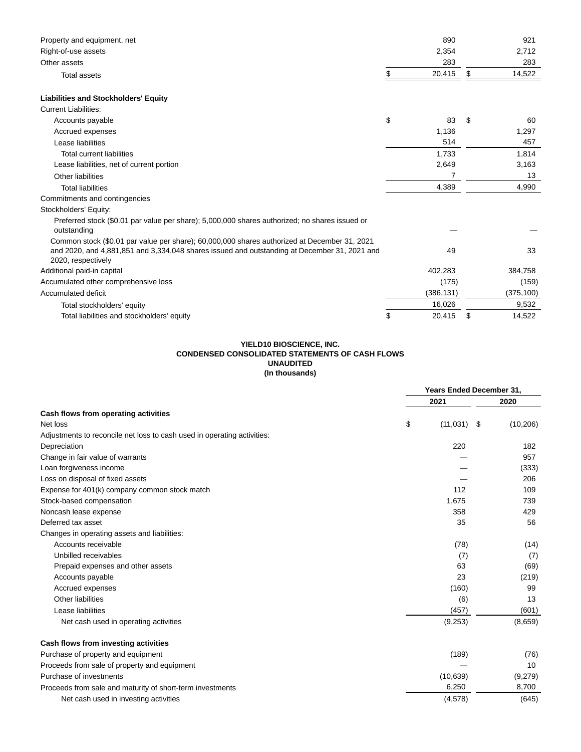| Property and equipment, net                                                                                                                                                                                        | 890          |     | 921        |
|--------------------------------------------------------------------------------------------------------------------------------------------------------------------------------------------------------------------|--------------|-----|------------|
| Right-of-use assets                                                                                                                                                                                                | 2,354        |     | 2,712      |
| Other assets                                                                                                                                                                                                       | 283          |     | 283        |
| <b>Total assets</b>                                                                                                                                                                                                | \$<br>20,415 | \$  | 14,522     |
| <b>Liabilities and Stockholders' Equity</b>                                                                                                                                                                        |              |     |            |
| <b>Current Liabilities:</b>                                                                                                                                                                                        |              |     |            |
| Accounts payable                                                                                                                                                                                                   | \$<br>83     | \$. | 60         |
| Accrued expenses                                                                                                                                                                                                   | 1,136        |     | 1,297      |
| Lease liabilities                                                                                                                                                                                                  | 514          |     | 457        |
| Total current liabilities                                                                                                                                                                                          | 1,733        |     | 1.814      |
| Lease liabilities, net of current portion                                                                                                                                                                          | 2,649        |     | 3,163      |
| <b>Other liabilities</b>                                                                                                                                                                                           | 7            |     | 13         |
| <b>Total liabilities</b>                                                                                                                                                                                           | 4,389        |     | 4,990      |
| Commitments and contingencies                                                                                                                                                                                      |              |     |            |
| Stockholders' Equity:                                                                                                                                                                                              |              |     |            |
| Preferred stock (\$0.01 par value per share); 5,000,000 shares authorized; no shares issued or<br>outstanding                                                                                                      |              |     |            |
| Common stock (\$0.01 par value per share); 60,000,000 shares authorized at December 31, 2021<br>and 2020, and 4,881,851 and 3,334,048 shares issued and outstanding at December 31, 2021 and<br>2020, respectively | 49           |     | 33         |
| Additional paid-in capital                                                                                                                                                                                         | 402,283      |     | 384,758    |
| Accumulated other comprehensive loss                                                                                                                                                                               | (175)        |     | (159)      |
| Accumulated deficit                                                                                                                                                                                                | (386, 131)   |     | (375, 100) |
| Total stockholders' equity                                                                                                                                                                                         | 16,026       |     | 9,532      |
| Total liabilities and stockholders' equity                                                                                                                                                                         | \$<br>20,415 | \$  | 14,522     |

# **YIELD10 BIOSCIENCE, INC. CONDENSED CONSOLIDATED STATEMENTS OF CASH FLOWS UNAUDITED (In thousands)**

|                                                                         | <b>Years Ended December 31,</b> |           |  |
|-------------------------------------------------------------------------|---------------------------------|-----------|--|
|                                                                         | 2021                            | 2020      |  |
| Cash flows from operating activities                                    |                                 |           |  |
| Net loss                                                                | \$<br>(11, 031)<br>-\$          | (10, 206) |  |
| Adjustments to reconcile net loss to cash used in operating activities: |                                 |           |  |
| Depreciation                                                            | 220                             | 182       |  |
| Change in fair value of warrants                                        |                                 | 957       |  |
| Loan forgiveness income                                                 |                                 | (333)     |  |
| Loss on disposal of fixed assets                                        |                                 | 206       |  |
| Expense for 401(k) company common stock match                           | 112                             | 109       |  |
| Stock-based compensation                                                | 1,675                           | 739       |  |
| Noncash lease expense                                                   | 358                             | 429       |  |
| Deferred tax asset                                                      | 35                              | 56        |  |
| Changes in operating assets and liabilities:                            |                                 |           |  |
| Accounts receivable                                                     | (78)                            | (14)      |  |
| Unbilled receivables                                                    | (7)                             | (7)       |  |
| Prepaid expenses and other assets                                       | 63                              | (69)      |  |
| Accounts payable                                                        | 23                              | (219)     |  |
| Accrued expenses                                                        | (160)                           | 99        |  |
| Other liabilities                                                       | (6)                             | 13        |  |
| Lease liabilities                                                       | (457)                           | (601)     |  |
| Net cash used in operating activities                                   | (9,253)                         | (8,659)   |  |
| Cash flows from investing activities                                    |                                 |           |  |
| Purchase of property and equipment                                      | (189)                           | (76)      |  |
| Proceeds from sale of property and equipment                            |                                 | 10        |  |
| Purchase of investments                                                 | (10, 639)                       | (9,279)   |  |
| Proceeds from sale and maturity of short-term investments               | 6,250                           | 8,700     |  |
| Net cash used in investing activities                                   | (4,578)                         | (645)     |  |
|                                                                         |                                 |           |  |